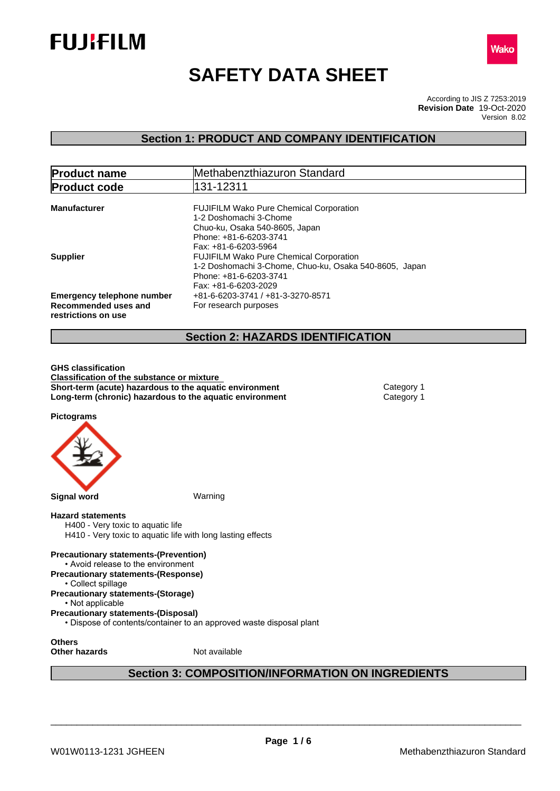



# **SAFETY DATA SHEET**

According to JIS Z 7253:2019 Version 8.02 **Revision Date** 19-Oct-2020

### **Section 1: PRODUCT AND COMPANY IDENTIFICATION**

| <b>Product name</b>                                                              | Methabenzthiazuron Standard                                                                                                                                                          |  |
|----------------------------------------------------------------------------------|--------------------------------------------------------------------------------------------------------------------------------------------------------------------------------------|--|
| <b>Product code</b>                                                              | 131-12311                                                                                                                                                                            |  |
| <b>Manufacturer</b>                                                              | <b>FUJIFILM Wako Pure Chemical Corporation</b><br>1-2 Doshomachi 3-Chome<br>Chuo-ku, Osaka 540-8605, Japan                                                                           |  |
| <b>Supplier</b>                                                                  | Phone: +81-6-6203-3741<br>Fax: +81-6-6203-5964<br><b>FUJIFILM Wako Pure Chemical Corporation</b><br>1-2 Doshomachi 3-Chome, Chuo-ku, Osaka 540-8605, Japan<br>Phone: +81-6-6203-3741 |  |
| <b>Emergency telephone number</b><br>Recommended uses and<br>restrictions on use | Fax: +81-6-6203-2029<br>+81-6-6203-3741 / +81-3-3270-8571<br>For research purposes                                                                                                   |  |

### **Section 2: HAZARDS IDENTIFICATION**

**GHS classification Classification of the substance or mixture Short-term (acute) hazardous to the aquatic environment** Category 1 **Long-term (chronic) hazardous to the aquatic environment** Category 1

**Pictograms**



### **Hazard statements**

H400 - Very toxic to aquatic life H410 - Very toxic to aquatic life with long lasting effects

**Precautionary statements-(Prevention)** • Avoid release to the environment **Precautionary statements-(Response)**

- Collect spillage
- **Precautionary statements-(Storage)**

• Not applicable

**Precautionary statements-(Disposal)**

• Dispose of contents/container to an approved waste disposal plant

**Others**

**Other hazards** Not available

### **Section 3: COMPOSITION/INFORMATION ON INGREDIENTS**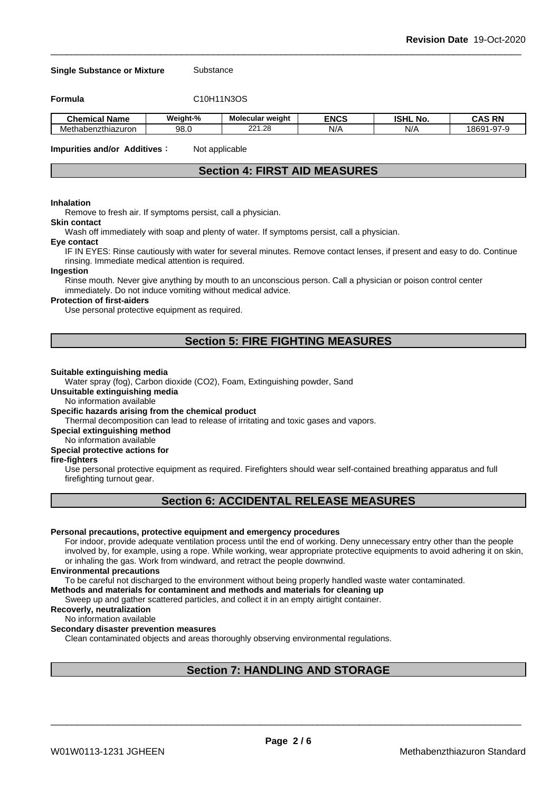#### **Single Substance or Mixture** Substance

**Formula** C10H11N3OS

| . .<br>Name<br>Chemical                 | Weiaht-% | Molecular weight | <b>ENCS</b> | <b>ISHL</b><br>. .<br>. No. | <b>RN</b><br>$\ddot{\phantom{1}}$<br>∩^<br>∼ |
|-----------------------------------------|----------|------------------|-------------|-----------------------------|----------------------------------------------|
| izthiazuron<br>Mether<br>таоег<br>1 I L | 98.C     | 004<br>.28<br>__ | N/          | NI/<br>N/                   | $\sim$<br>869′،<br>- 14<br>-4<br>.           |

**Impurities and/or Additives**: Not applicable

### **Section 4: FIRST AID MEASURES**

#### **Inhalation**

Remove to fresh air. If symptoms persist, call a physician.

### **Skin contact**

Wash off immediately with soap and plenty of water. If symptoms persist, calla physician.

#### **Eye contact**

IF IN EYES: Rinse cautiously with water for several minutes. Remove contact lenses, if present and easy to do. Continue rinsing. Immediate medical attention is required.

#### **Ingestion**

Rinse mouth. Never give anything by mouth to an unconscious person. Call a physician or poison control center immediately. Do not induce vomiting without medical advice.

#### **Protection of first-aiders**

Use personal protective equipment as required.

### **Section 5: FIRE FIGHTING MEASURES**

#### **Suitable extinguishing media**

Water spray (fog), Carbon dioxide (CO2), Foam, Extinguishing powder, Sand

**Unsuitable extinguishing media**

No information available

#### **Specific hazards arising from the chemical product**

Thermal decomposition can lead to release of irritating and toxic gases and vapors.

**Special extinguishing method**

#### No information available

### **Special protective actions for**

### **fire-fighters**

Use personal protective equipment as required.Firefighters should wear self-contained breathing apparatus and full firefighting turnout gear.

### **Section 6: ACCIDENTAL RELEASE MEASURES**

#### **Personal precautions, protective equipment and emergency procedures**

For indoor, provide adequate ventilation process until the end of working. Deny unnecessary entry other than the people involved by, for example, using a rope. While working, wear appropriate protective equipments to avoid adhering it on skin, or inhaling the gas. Work from windward, and retract the people downwind.

#### **Environmental precautions**

To be careful not discharged to the environment without being properly handled waste water contaminated.

#### **Methods and materials for contaminent and methods and materials for cleaning up**

Sweep up and gather scattered particles, and collect it in an empty airtight container.

### **Recoverly, neutralization**

#### No information available

#### **Secondary disaster prevention measures**

Clean contaminated objects and areas thoroughly observing environmental regulations.

### **Section 7: HANDLING AND STORAGE**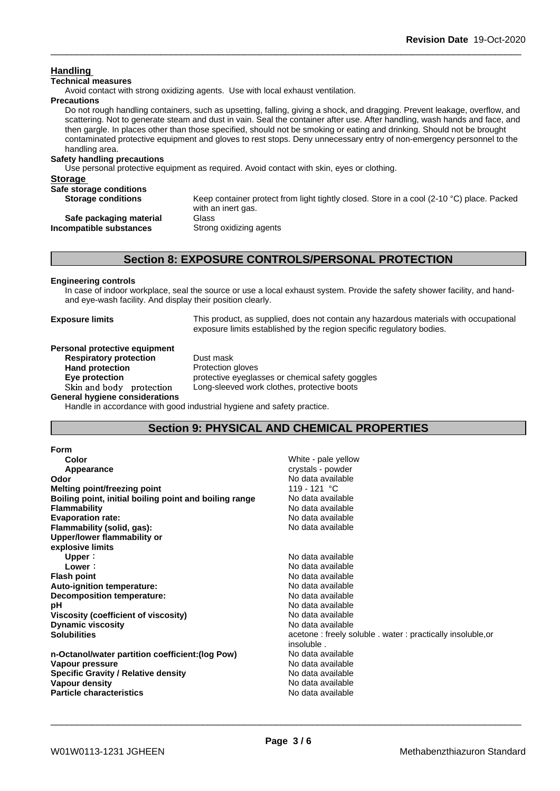### **Handling**

### **Technical measures**

Avoid contact with strong oxidizing agents. Use with local exhaust ventilation.

#### **Precautions**

Do not rough handling containers, such as upsetting, falling, giving a shock, and dragging. Prevent leakage, overflow, and scattering. Not to generate steam and dust in vain. Seal the container after use. After handling, wash hands and face, and then gargle. In places other than those specified, should not be smoking or eating and drinking. Should not be brought contaminated protective equipment and gloves to rest stops. Deny unnecessary entry of non-emergency personnel to the handling area.

#### **Safety handling precautions**

Use personal protective equipment as required.Avoid contact with skin, eyes or clothing.

| <b>Storage</b>            |                                                                                                                           |
|---------------------------|---------------------------------------------------------------------------------------------------------------------------|
| Safe storage conditions   |                                                                                                                           |
| <b>Storage conditions</b> | Keep container protect from light tightly closed. Store in a cool (2-10 $^{\circ}$ C) place. Packed<br>with an inert gas. |
| Safe packaging material   | Glass                                                                                                                     |
| Incompatible substances   | Strong oxidizing agents                                                                                                   |
|                           |                                                                                                                           |

### **Section 8: EXPOSURE CONTROLS/PERSONAL PROTECTION**

### **Engineering controls**

In case of indoor workplace, seal the source or use a local exhaust system. Provide the safety shower facility, and handand eye-wash facility. And display their position clearly.

**Exposure limits** This product, as supplied, does not contain any hazardous materials with occupational exposure limits established by the region specific regulatory bodies.

#### **Personal protective equipment Respiratory protection** Dust mask

Hand protection **Protection Protection** gloves

**Eye protection** protective eyeglasses or chemical safety goggles Skin and body protection Long-sleeved work clothes, protective boots

**General hygiene considerations**

Handle in accordance with good industrial hygiene and safety practice.

### **Section 9: PHYSICAL AND CHEMICAL PROPERTIES**

| Form                                                   |                                                            |
|--------------------------------------------------------|------------------------------------------------------------|
| Color                                                  | White - pale yellow                                        |
| Appearance                                             | crystals - powder                                          |
| Odor                                                   | No data available                                          |
| Melting point/freezing point                           | 119 - 121 °C                                               |
| Boiling point, initial boiling point and boiling range | No data available                                          |
| Flammability                                           | No data available                                          |
| <b>Evaporation rate:</b>                               | No data available                                          |
| Flammability (solid, gas):                             | No data available                                          |
| Upper/lower flammability or                            |                                                            |
| explosive limits                                       |                                                            |
| Upper:                                                 | No data available                                          |
| Lower:                                                 | No data available                                          |
| <b>Flash point</b>                                     | No data available                                          |
| Auto-ignition temperature:                             | No data available                                          |
| <b>Decomposition temperature:</b>                      | No data available                                          |
| pН                                                     | No data available                                          |
| Viscosity (coefficient of viscosity)                   | No data available                                          |
| <b>Dynamic viscosity</b>                               | No data available                                          |
| Solubilities                                           | acetone: freely soluble . water: practically insoluble, or |
|                                                        | insoluble.                                                 |
| n-Octanol/water partition coefficient: (log Pow)       | No data available                                          |
| Vapour pressure                                        | No data available                                          |
| <b>Specific Gravity / Relative density</b>             | No data available                                          |
| Vapour density                                         | No data available                                          |
| <b>Particle characteristics</b>                        | No data available                                          |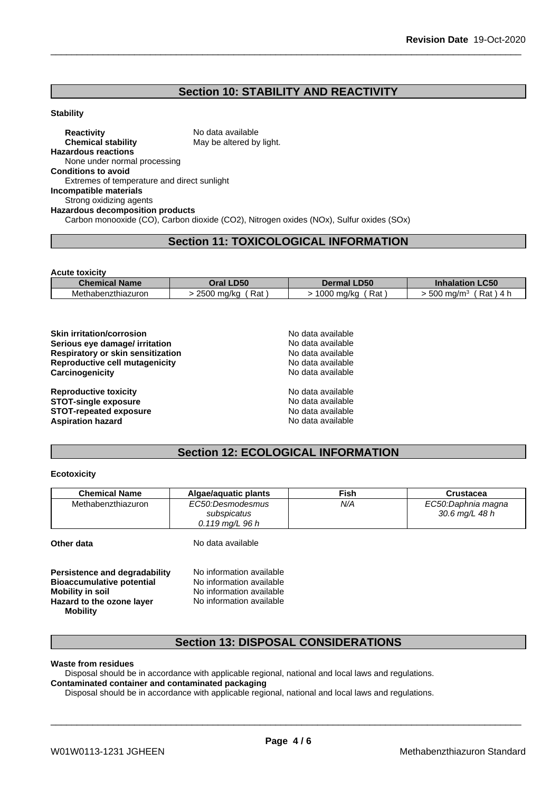## **Section 10: STABILITY AND REACTIVITY**

### **Stability**

**Reactivity** No data available **Chemical stability** May be altered by light. **Hazardous reactions** None under normal processing **Conditions to avoid** Extremes of temperature and direct sunlight **Incompatible materials** Strong oxidizing agents **Hazardous decomposition products** Carbon monooxide (CO), Carbon dioxide (CO2), Nitrogen oxides (NOx), Sulfur oxides (SOx)

### **Section 11: TOXICOLOGICAL INFORMATION**

| <b>Acute toxicity</b> |                   |                    |                                      |
|-----------------------|-------------------|--------------------|--------------------------------------|
| <b>Chemical Name</b>  | Oral LD50         | <b>Dermal LD50</b> | <b>Inhalation LC50</b>               |
| Methabenzthiazuron    | Rat<br>2500 mg/kg | Rat<br>1000 mg/kg  | 500 mg/m <sup>3</sup><br>Rat<br>-4 h |

| <b>Skin irritation/corrosion</b><br>Serious eye damage/ irritation         | No data available<br>No data available |  |
|----------------------------------------------------------------------------|----------------------------------------|--|
| <b>Respiratory or skin sensitization</b><br>Reproductive cell mutagenicity | No data available<br>No data available |  |
| Carcinogenicity                                                            | No data available                      |  |
| <b>Reproductive toxicity</b>                                               | No data available                      |  |
| <b>STOT-single exposure</b>                                                | No data available                      |  |
| <b>STOT-repeated exposure</b>                                              | No data available                      |  |
| <b>Aspiration hazard</b>                                                   | No data available                      |  |

## **Section 12: ECOLOGICAL INFORMATION**

### **Ecotoxicity**

| <b>Chemical Name</b> | Algae/aguatic plants      | Fish | Crustacea          |
|----------------------|---------------------------|------|--------------------|
| Methabenzthiazuron   | EC50:Desmodesmus          | N/A  | EC50:Daphnia magna |
|                      | subspicatus               |      | 30.6 mg/L 48 h     |
|                      | $0.119 \text{ ma/L}$ 96 h |      |                    |
|                      |                           |      |                    |
| Other data           | No data available         |      |                    |

| Persistence and degradability    | No information available |
|----------------------------------|--------------------------|
| <b>Bioaccumulative potential</b> | No information available |
| <b>Mobility in soil</b>          | No information available |
| Hazard to the ozone layer        | No information available |
| <b>Mobility</b>                  |                          |

### **Section 13: DISPOSAL CONSIDERATIONS**

#### **Waste from residues**

Disposal should be in accordance with applicable regional, national and local laws and regulations. **Contaminated container and contaminated packaging**

Disposal should be in accordance with applicable regional, national and local laws and regulations.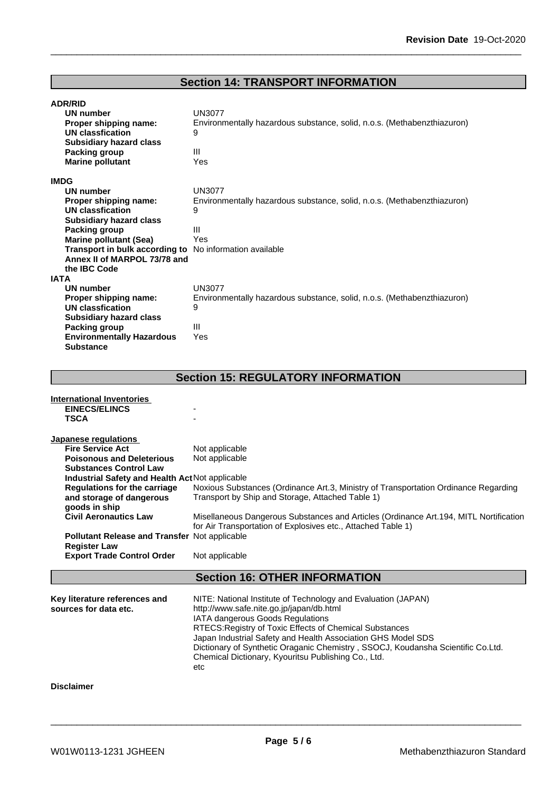### **Section 14: TRANSPORT INFORMATION**

| <b>ADR/RID</b> |  |
|----------------|--|
|----------------|--|

| Proper shipping name:<br>UN classfication<br><b>Subsidiary hazard class</b> | Environmentally hazardous substance, solid, n.o.s. (Methabenzthiazuron)<br>9 |
|-----------------------------------------------------------------------------|------------------------------------------------------------------------------|
|                                                                             |                                                                              |
|                                                                             |                                                                              |
|                                                                             |                                                                              |
| Packing group                                                               | Ш                                                                            |
| <b>Marine pollutant</b>                                                     | Yes                                                                          |
| <b>IMDG</b>                                                                 |                                                                              |
| <b>UN number</b>                                                            | <b>UN3077</b>                                                                |
| Proper shipping name:                                                       | Environmentally hazardous substance, solid, n.o.s. (Methabenzthiazuron)      |
| UN classfication                                                            | 9                                                                            |
| <b>Subsidiary hazard class</b>                                              |                                                                              |
| Packing group                                                               | $\mathbf{III}$                                                               |
| <b>Marine pollutant (Sea)</b>                                               | Yes                                                                          |
| Transport in bulk according to                                              | No information available                                                     |
| Annex II of MARPOL 73/78 and                                                |                                                                              |
| the IBC Code                                                                |                                                                              |
| <b>IATA</b>                                                                 |                                                                              |
| UN number                                                                   | UN3077                                                                       |
| Proper shipping name:                                                       | Environmentally hazardous substance, solid, n.o.s. (Methabenzthiazuron)      |
| UN classfication                                                            | 9                                                                            |
| <b>Subsidiary hazard class</b>                                              |                                                                              |
| Packing group                                                               | $\mathbf{III}$                                                               |
| <b>Environmentally Hazardous</b>                                            | Yes                                                                          |
| <b>Substance</b>                                                            |                                                                              |

#### **International Inventories EINECS/ELINCS TSCA** - **Japanese regulations Fire Service Act** Not applicable **Poisonous and Deleterious Substances Control Law** Not applicable **Industrial Safety and Health Act**Not applicable **Regulations for the carriage and storage of dangerous goods in ship** Noxious Substances (Ordinance Art.3, Ministry of Transportation Ordinance Regarding Transport by Ship and Storage, Attached Table 1) **Civil Aeronautics Law** Misellaneous Dangerous Substances and Articles (Ordinance Art.194, MITL Nortification for Air Transportation of Explosives etc., Attached Table 1) **Pollutant Release and Transfer** Notapplicable **Register Law Export Trade Control Order** Not applicable **Section 16: OTHER INFORMATION Key literature references and Key literature references and** NITE: National Institute of Technology and Evaluation (JAPAN) sources for data etc.  $h(t) = h(t)$  http://www.safe.nite.go.jp/japan/db.html http://www.safe.nite.go.jp/japan/db.html IATA dangerous Goods Regulations RTECS:Registry of Toxic Effects of Chemical Substances Japan Industrial Safety and Health Association GHS Model SDS Dictionary of Synthetic Oraganic Chemistry , SSOCJ, Koudansha Scientific Co.Ltd. Chemical Dictionary, Kyouritsu Publishing Co., Ltd. etches and the control of the control of the control of the control of the control of the control of the control of the control of the control of the control of the control of the control of the control of the control of t **Disclaimer**